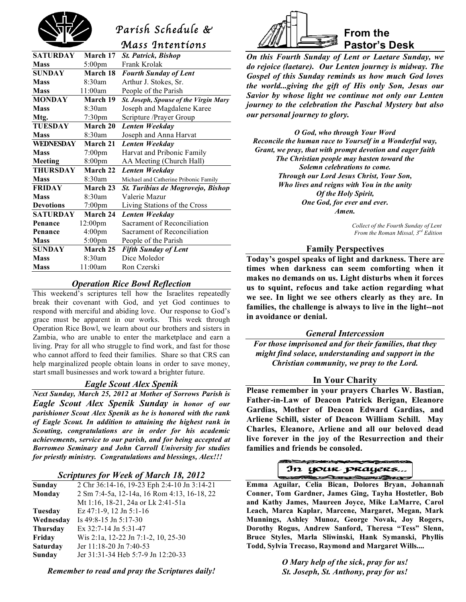

# *Parish Schedule &*

*Mass Intentions* 

| <b>SATURDAY</b>  | March 17           | <b>St. Patrick, Bishop</b>            |  |
|------------------|--------------------|---------------------------------------|--|
| <b>Mass</b>      | $5:00 \text{pm}$   | Frank Krolak                          |  |
| <b>SUNDAY</b>    | March 18           | <b>Fourth Sunday of Lent</b>          |  |
| <b>Mass</b>      | 8:30am             | Arthur J. Stokes, Sr.                 |  |
| <b>Mass</b>      | 11:00am            | People of the Parish                  |  |
| <b>MONDAY</b>    | March 19           | St. Joseph, Spouse of the Virgin Mary |  |
| <b>Mass</b>      | $8:30$ am          | Joseph and Magdalene Karee            |  |
| Mtg.             | 7:30pm             | Scripture /Prayer Group               |  |
| <b>TUESDAY</b>   | March 20           | Lenten Weekday                        |  |
| <b>Mass</b>      | 8:30am             | Joseph and Anna Harvat                |  |
| WEDNESDAY        | March 21           | Lenten Weekday                        |  |
| <b>Mass</b>      | 7:00pm             | Harvat and Pribonic Family            |  |
| Meeting          | 8:00 <sub>pm</sub> | AA Meeting (Church Hall)              |  |
| <b>THURSDAY</b>  | <b>March 22</b>    | Lenten Weekday                        |  |
| <b>Mass</b>      | 8:30am             | Michael and Catherine Pribonic Family |  |
| <b>FRIDAY</b>    | March 23           | St. Turibius de Mogrovejo, Bishop     |  |
| <b>Mass</b>      | 8:30am             | Valerie Mazur                         |  |
| <b>Devotions</b> | $7:00 \text{pm}$   | Living Stations of the Cross          |  |
| <b>SATURDAY</b>  | March 24           | Lenten Weekday                        |  |
| Penance          | 12:00pm            | Sacrament of Reconciliation           |  |
| Penance          | 4:00 <sub>pm</sub> | Sacrament of Reconciliation           |  |
| <b>Mass</b>      | $5:00$ pm          | People of the Parish                  |  |
| <b>SUNDAY</b>    | March 25           | <b>Fifth Sunday of Lent</b>           |  |
| <b>Mass</b>      | 8:30am             | Dice Moledor                          |  |
| <b>Mass</b>      | 11:00am            | Ron Czerski                           |  |

#### *Operation Rice Bowl Reflection*

This weekend's scriptures tell how the Israelites repeatedly break their covenant with God, and yet God continues to respond with merciful and abiding love. Our response to God's grace must be apparent in our works. This week through Operation Rice Bowl, we learn about our brothers and sisters in Zambia, who are unable to enter the marketplace and earn a living. Pray for all who struggle to find work, and fast for those who cannot afford to feed their families. Share so that CRS can help marginalized people obtain loans in order to save money, start small businesses and work toward a brighter future.

### *Eagle Scout Alex Spenik*

*Next Sunday, March 25, 2012 at Mother of Sorrows Parish is Eagle Scout Alex Spenik Sunday in honor of our parishioner Scout Alex Spenik as he is honored with the rank of Eagle Scout. In addition to attaining the highest rank in Scouting, congratulations are in order for his academic achievements, service to our parish, and for being accepted at Borromeo Seminary and John Carroll University for studies for priestly ministry. Congratulations and blessings, Alex!!!*

#### *Scriptures for Week of March 18, 2012*

| Sunday          | 2 Chr 36:14-16, 19-23 Eph 2:4-10 Jn 3:14-21 |  |  |
|-----------------|---------------------------------------------|--|--|
| Monday          | 2 Sm 7:4-5a, 12-14a, 16 Rom 4:13, 16-18, 22 |  |  |
|                 | Mt 1:16, 18-21, 24a or Lk 2:41-51a          |  |  |
| Tuesday         | Ez $47:1-9$ , 12 Jn $5:1-16$                |  |  |
| Wednesday       | Is 49:8-15 Jn 5:17-30                       |  |  |
| <b>Thursday</b> | Ex $32:7-14$ Jn $5:31-47$                   |  |  |
| Friday          | Wis 2:1a, 12-22 Jn 7:1-2, 10, 25-30         |  |  |
| <b>Saturday</b> | Jer 11:18-20 Jn 7:40-53                     |  |  |
| Sunday          | Jer 31:31-34 Heb 5:7-9 Jn 12:20-33          |  |  |

*Remember to read and pray the Scriptures daily!*



*On this Fourth Sunday of Lent or Laetare Sunday, we do rejoice (laetare). Our Lenten journey is midway. The Gospel of this Sunday reminds us how much God loves the world...giving the gift of His only Son, Jesus our Savior by whose light we continue not only our Lenten journey to the celebration the Paschal Mystery but also our personal journey to glory.*

*O God, who through Your Word Reconcile the human race to Yourself in a Wonderful way, Grant, we pray, that with prompt devotion and eager faith The Christian people may hasten toward the Solemn celebrations to come. Through our Lord Jesus Christ, Your Son, Who lives and reigns with You in the unity Of the Holy Spirit, One God, for ever and ever. Amen.*

> *Collect of the Fourth Sunday of Lent From the Roman Missal, 3rd Edition*

#### **Family Perspectives**

**Today's gospel speaks of light and darkness. There are times when darkness can seem comforting when it makes no demands on us. Light disturbs when it forces us to squint, refocus and take action regarding what we see. In light we see others clearly as they are. In families, the challenge is always to live in the light--not in avoidance or denial.**

#### *General Intercession*

*For those imprisoned and for their families, that they might find solace, understanding and support in the Christian community, we pray to the Lord.*

#### **In Your Charity**

**Please remember in your prayers Charles W. Bastian, Father-in-Law of Deacon Patrick Berigan, Eleanore Gardias, Mother of Deacon Edward Gardias, and Arliene Schill, sister of Deacon William Schill. May Charles, Eleanore, Arliene and all our beloved dead live forever in the joy of the Resurrection and their families and friends be consoled.**



 **Emma Aguilar, Celia Bican, Dolores Bryan, Johannah Conner, Tom Gardner, James Ging, Tayha Hostetler, Bob and Kathy James, Maureen Joyce, Mike LaMarre, Carol Leach, Marca Kaplar, Marcene, Margaret, Megan, Mark Munnings, Ashley Munoz, George Novak, Joy Rogers, Dorothy Rogus, Andrew Sanford, Theresa "Tess" Slenn, Bruce Styles, Marla Sliwinski, Hank Symanski, Phyllis Todd, Sylvia Trecaso, Raymond and Margaret Wills....**

> *O Mary help of the sick, pray for us! St. Joseph, St. Anthony, pray for us!*